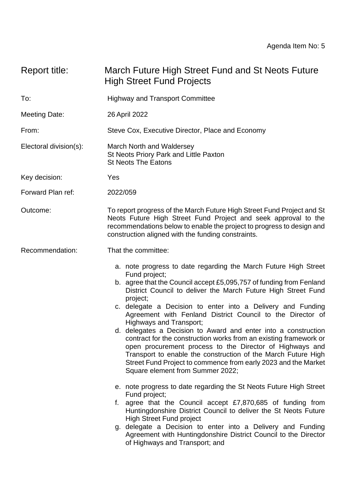# Report title: March Future High Street Fund and St Neots Future High Street Fund Projects

- To: Highway and Transport Committee
- Meeting Date: 26 April 2022

From: Steve Cox, Executive Director, Place and Economy

- Electoral division(s): March North and Waldersey St Neots Priory Park and Little Paxton St Neots The Eatons
- Key decision: Yes

Forward Plan ref: 2022/059

Outcome: To report progress of the March Future High Street Fund Project and St Neots Future High Street Fund Project and seek approval to the recommendations below to enable the project to progress to design and construction aligned with the funding constraints.

Recommendation: That the committee:

- a. note progress to date regarding the March Future High Street Fund project;
- b. agree that the Council accept £5,095,757 of funding from Fenland District Council to deliver the March Future High Street Fund project;
- c. delegate a Decision to enter into a Delivery and Funding Agreement with Fenland District Council to the Director of Highways and Transport;
- d. delegates a Decision to Award and enter into a construction contract for the construction works from an existing framework or open procurement process to the Director of Highways and Transport to enable the construction of the March Future High Street Fund Project to commence from early 2023 and the Market Square element from Summer 2022;
- e. note progress to date regarding the St Neots Future High Street Fund project;
- f. agree that the Council accept £7,870,685 of funding from Huntingdonshire District Council to deliver the St Neots Future High Street Fund project
- g. delegate a Decision to enter into a Delivery and Funding Agreement with Huntingdonshire District Council to the Director of Highways and Transport; and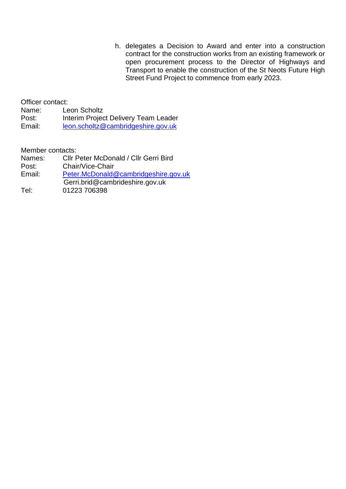h. delegates a Decision to Award and enter into a construction contract for the construction works from an existing framework or open procurement process to the Director of Highways and Transport to enable the construction of the St Neots Future High Street Fund Project to commence from early 2023.

Officer contact: Name: Leon Scholtz Post: Interim Project Delivery Team Leader Email: [leon.scholtz@cambridgeshire.gov.uk](mailto:leon.scholtz@cambridgeshire.gov.uk)

Member contacts:

- Names: Cllr Peter McDonald / Cllr Gerri Bird<br>Post: Chair/Vice-Chair
- Chair/Vice-Chair
- Email: [Peter.McDonald@cambridgeshire.gov.uk](mailto:Peter.McDonald@cambridgeshire.gov.uk)
- Gerri.brid@cambrideshire.gov.uk<br>Tel: 01223 706398
- 01223 706398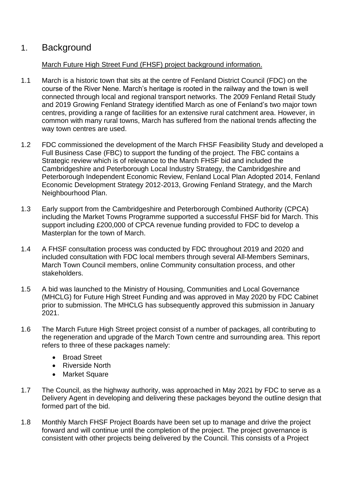# 1. Background

### March Future High Street Fund (FHSF) project background information.

- 1.1 March is a historic town that sits at the centre of Fenland District Council (FDC) on the course of the River Nene. March's heritage is rooted in the railway and the town is well connected through local and regional transport networks. The 2009 Fenland Retail Study and 2019 Growing Fenland Strategy identified March as one of Fenland's two major town centres, providing a range of facilities for an extensive rural catchment area. However, in common with many rural towns, March has suffered from the national trends affecting the way town centres are used.
- 1.2 FDC commissioned the development of the March FHSF Feasibility Study and developed a Full Business Case (FBC) to support the funding of the project. The FBC contains a Strategic review which is of relevance to the March FHSF bid and included the Cambridgeshire and Peterborough Local Industry Strategy, the Cambridgeshire and Peterborough Independent Economic Review, Fenland Local Plan Adopted 2014, Fenland Economic Development Strategy 2012-2013, Growing Fenland Strategy, and the March Neighbourhood Plan.
- 1.3 Early support from the Cambridgeshire and Peterborough Combined Authority (CPCA) including the Market Towns Programme supported a successful FHSF bid for March. This support including £200,000 of CPCA revenue funding provided to FDC to develop a Masterplan for the town of March.
- 1.4 A FHSF consultation process was conducted by FDC throughout 2019 and 2020 and included consultation with FDC local members through several All-Members Seminars, March Town Council members, online Community consultation process, and other stakeholders.
- 1.5 A bid was launched to the Ministry of Housing, Communities and Local Governance (MHCLG) for Future High Street Funding and was approved in May 2020 by FDC Cabinet prior to submission. The MHCLG has subsequently approved this submission in January 2021.
- 1.6 The March Future High Street project consist of a number of packages, all contributing to the regeneration and upgrade of the March Town centre and surrounding area. This report refers to three of these packages namely:
	- Broad Street
	- Riverside North
	- Market Square
- 1.7 The Council, as the highway authority, was approached in May 2021 by FDC to serve as a Delivery Agent in developing and delivering these packages beyond the outline design that formed part of the bid.
- 1.8 Monthly March FHSF Project Boards have been set up to manage and drive the project forward and will continue until the completion of the project. The project governance is consistent with other projects being delivered by the Council. This consists of a Project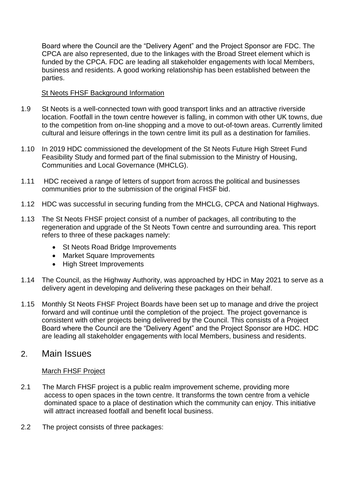Board where the Council are the "Delivery Agent" and the Project Sponsor are FDC. The CPCA are also represented, due to the linkages with the Broad Street element which is funded by the CPCA. FDC are leading all stakeholder engagements with local Members, business and residents. A good working relationship has been established between the parties.

#### St Neots FHSF Background Information

- 1.9 St Neots is a well-connected town with good transport links and an attractive riverside location. Footfall in the town centre however is falling, in common with other UK towns, due to the competition from on-line shopping and a move to out-of-town areas. Currently limited cultural and leisure offerings in the town centre limit its pull as a destination for families.
- 1.10 In 2019 HDC commissioned the development of the St Neots Future High Street Fund Feasibility Study and formed part of the final submission to the Ministry of Housing, Communities and Local Governance (MHCLG).
- 1.11 HDC received a range of letters of support from across the political and businesses communities prior to the submission of the original FHSF bid.
- 1.12 HDC was successful in securing funding from the MHCLG, CPCA and National Highways.
- 1.13 The St Neots FHSF project consist of a number of packages, all contributing to the regeneration and upgrade of the St Neots Town centre and surrounding area. This report refers to three of these packages namely:
	- St Neots Road Bridge Improvements
	- Market Square Improvements
	- High Street Improvements
- 1.14 The Council, as the Highway Authority, was approached by HDC in May 2021 to serve as a delivery agent in developing and delivering these packages on their behalf.
- 1.15 Monthly St Neots FHSF Project Boards have been set up to manage and drive the project forward and will continue until the completion of the project. The project governance is consistent with other projects being delivered by the Council. This consists of a Project Board where the Council are the "Delivery Agent" and the Project Sponsor are HDC. HDC are leading all stakeholder engagements with local Members, business and residents.

## 2. Main Issues

### March FHSF Project

- 2.1 The March FHSF project is a public realm improvement scheme, providing more access to open spaces in the town centre. It transforms the town centre from a vehicle dominated space to a place of destination which the community can enjoy. This initiative will attract increased footfall and benefit local business.
- 2.2 The project consists of three packages: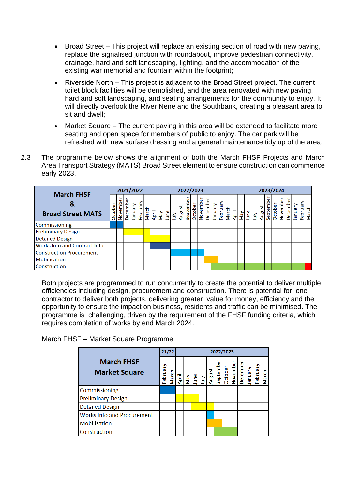- Broad Street This project will replace an existing section of road with new paving, replace the signalised junction with roundabout, improve pedestrian connectivity, drainage, hard and soft landscaping, lighting, and the accommodation of the existing war memorial and fountain within the footprint;
- Riverside North This project is adjacent to the Broad Street project. The current toilet block facilities will be demolished, and the area renovated with new paving, hard and soft landscaping, and seating arrangements for the community to enjoy. It will directly overlook the River Nene and the Southbank, creating a pleasant area to sit and dwell;
- Market Square The current paving in this area will be extended to facilitate more seating and open space for members of public to enjoy. The car park will be refreshed with new surface dressing and a general maintenance tidy up of the area;
- 2.3 The programme below shows the alignment of both the March FHSF Projects and March Area Transport Strategy (MATS) Broad Street element to ensure construction can commence early 2023.

|                                               |         | 2021/2022 |          |          |         |       |       |     |      |      |        |              | 2022/2023 |          |          |         |                                |       | 2023/2024 |     |      |      |        |             |         |          |          |         |          |       |  |
|-----------------------------------------------|---------|-----------|----------|----------|---------|-------|-------|-----|------|------|--------|--------------|-----------|----------|----------|---------|--------------------------------|-------|-----------|-----|------|------|--------|-------------|---------|----------|----------|---------|----------|-------|--|
| <b>March FHSF</b><br><b>Broad Street MATS</b> | October | November  | December | Vienuary | Februar | March | April | VeN | June | July | August | Φ<br>Septemb | October   | November | December | Vienuel | ≥<br><b>G</b><br><b>Februa</b> | March | April     | VeN | June | July | August | Φ<br>Septem | October | November | December | Vienuel | February | March |  |
| Commissioning                                 |         |           |          |          |         |       |       |     |      |      |        |              |           |          |          |         |                                |       |           |     |      |      |        |             |         |          |          |         |          |       |  |
| <b>Preliminary Design</b>                     |         |           |          |          |         |       |       |     |      |      |        |              |           |          |          |         |                                |       |           |     |      |      |        |             |         |          |          |         |          |       |  |
| Detailed Design                               |         |           |          |          |         |       |       |     |      |      |        |              |           |          |          |         |                                |       |           |     |      |      |        |             |         |          |          |         |          |       |  |
| Works Info and Contract Info                  |         |           |          |          |         |       |       |     |      |      |        |              |           |          |          |         |                                |       |           |     |      |      |        |             |         |          |          |         |          |       |  |
| <b>Construction Procurement</b>               |         |           |          |          |         |       |       |     |      |      |        |              |           |          |          |         |                                |       |           |     |      |      |        |             |         |          |          |         |          |       |  |
| Mobilisation                                  |         |           |          |          |         |       |       |     |      |      |        |              |           |          |          |         |                                |       |           |     |      |      |        |             |         |          |          |         |          |       |  |
| Construction                                  |         |           |          |          |         |       |       |     |      |      |        |              |           |          |          |         |                                |       |           |     |      |      |        |             |         |          |          |         |          |       |  |

Both projects are programmed to run concurrently to create the potential to deliver multiple efficiencies including design, procurement and construction. There is potential for one contractor to deliver both projects, delivering greater value for money, efficiency and the opportunity to ensure the impact on business, residents and traffic can be minimised. The programme is challenging, driven by the requirement of the FHSF funding criteria, which requires completion of works by end March 2024.

March FHSF – Market Square Programme

|                                           |          | 21/22 | 2022/2023                                                                |  |  |  |  |  |  |                      |  |         |          |       |  |  |
|-------------------------------------------|----------|-------|--------------------------------------------------------------------------|--|--|--|--|--|--|----------------------|--|---------|----------|-------|--|--|
| <b>March FHSF</b><br><b>Market Square</b> | February |       | March<br>April<br>May<br>July August<br>August<br>September<br>September |  |  |  |  |  |  | November<br>December |  | yanuary | February | March |  |  |
| Commissioning                             |          |       |                                                                          |  |  |  |  |  |  |                      |  |         |          |       |  |  |
| <b>Preliminary Design</b>                 |          |       |                                                                          |  |  |  |  |  |  |                      |  |         |          |       |  |  |
| <b>Detailed Design</b>                    |          |       |                                                                          |  |  |  |  |  |  |                      |  |         |          |       |  |  |
| <b>Works Info and Procurement</b>         |          |       |                                                                          |  |  |  |  |  |  |                      |  |         |          |       |  |  |
| <b>Mobilisation</b>                       |          |       |                                                                          |  |  |  |  |  |  |                      |  |         |          |       |  |  |
| Construction                              |          |       |                                                                          |  |  |  |  |  |  |                      |  |         |          |       |  |  |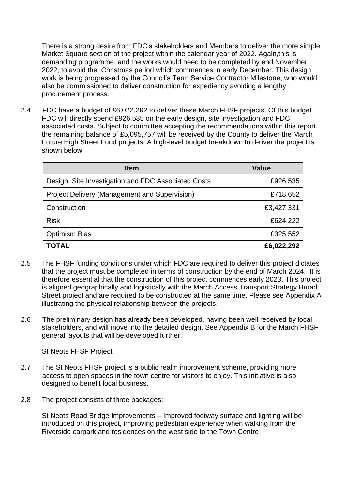There is a strong desire from FDC's stakeholders and Members to deliver the more simple Market Square section of the project within the calendar year of 2022. Again,this is demanding programme, and the works would need to be completed by end November 2022, to avoid the Christmas period which commences in early December. This design work is being progressed by the Council's Term Service Contractor Milestone, who would also be commissioned to deliver construction for expediency avoiding a lengthy procurement process.

2.4 FDC have a budget of £6,022,292 to deliver these March FHSF projects. Of this budget FDC will directly spend £926,535 on the early design, site investigation and FDC associated costs. Subject to committee accepting the recommendations within this report, the remaining balance of £5,095,757 will be received by the County to deliver the March Future High Street Fund projects. A high-level budget breakdown to deliver the project is shown below.

| <b>Item</b>                                          | Value      |
|------------------------------------------------------|------------|
| Design, Site Investigation and FDC Associated Costs  | £926,535   |
| <b>Project Delivery (Management and Supervision)</b> | £718,652   |
| Construction                                         | £3,427,331 |
| <b>Risk</b>                                          | £624,222   |
| <b>Optimism Bias</b>                                 | £325,552   |
| <b>TOTAL</b>                                         | £6,022,292 |

- 2.5 The FHSF funding conditions under which FDC are required to deliver this project dictates that the project must be completed in terms of construction by the end of March 2024. It is therefore essential that the construction of this project commences early 2023. This project is aligned geographically and logistically with the March Access Transport Strategy Broad Street project and are required to be constructed at the same time. Please see Appendix A illustrating the physical relationship between the projects.
- 2.6 The preliminary design has already been developed, having been well received by local stakeholders, and will move into the detailed design. See Appendix B for the March FHSF general layouts that will be developed further.

#### St Neots FHSF Project

- 2.7 The St Neots FHSF project is a public realm improvement scheme, providing more access to open spaces in the town centre for visitors to enjoy. This initiative is also designed to benefit local business.
- 2.8 The project consists of three packages:

St Neots Road Bridge Improvements – Improved footway surface and lighting will be introduced on this project, improving pedestrian experience when walking from the Riverside carpark and residences on the west side to the Town Centre;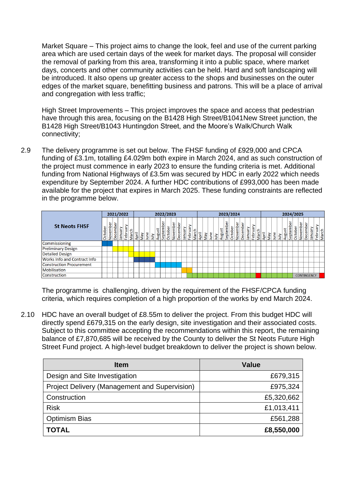Market Square – This project aims to change the look, feel and use of the current parking area which are used certain days of the week for market days. The proposal will consider the removal of parking from this area, transforming it into a public space, where market days, concerts and other community activities can be held. Hard and soft landscaping will be introduced. It also opens up greater access to the shops and businesses on the outer edges of the market square, benefitting business and patrons. This will be a place of arrival and congregation with less traffic;

High Street Improvements – This project improves the space and access that pedestrian have through this area, focusing on the B1428 High Street/B1041New Street junction, the B1428 High Street/B1043 Huntingdon Street, and the Moore's Walk/Church Walk connectivity;

2.9 The delivery programme is set out below. The FHSF funding of £929,000 and CPCA funding of £3.1m, totalling £4.029m both expire in March 2024, and as such construction of the project must commence in early 2023 to ensure the funding criteria is met. Additional funding from National Highways of £3.5m was secured by HDC in early 2022 which needs expenditure by September 2024. A further HDC contributions of £993,000 has been made available for the project that expires in March 2025. These funding constraints are reflected in the programme below.

|                                     |            | 2021/2022 |          |        |         |       |       | 2022/2023 |      |                       |  |                      |  |          |         |        |         |       |       | 2023/2024                     |      |      |        |           |                     |                 |         |       |       |       |                         | 2024/2025 |    |        |           |         |          |                    |         |                  |  |  |
|-------------------------------------|------------|-----------|----------|--------|---------|-------|-------|-----------|------|-----------------------|--|----------------------|--|----------|---------|--------|---------|-------|-------|-------------------------------|------|------|--------|-----------|---------------------|-----------------|---------|-------|-------|-------|-------------------------|-----------|----|--------|-----------|---------|----------|--------------------|---------|------------------|--|--|
| <b>St Neots FHSF</b>                | tober<br>ŏ | November  | December | Januar | Februar | March | April | Vay       | June | August<br><b>Slnr</b> |  | September<br>October |  | November | Decembe | Januar | Februar | March | April | $\frac{N_{\rm B}}{N_{\rm B}}$ | June | July | August | September | November<br>October | <b>December</b> | Vienuel | Febru | March | April | $\overline{\text{New}}$ | June      | ήμ | August | September | October | November | ō<br>emb<br>ျန     | ٦Ē<br>흛 | Februar<br>March |  |  |
| Commissioning                       |            |           |          |        |         |       |       |           |      |                       |  |                      |  |          |         |        |         |       |       |                               |      |      |        |           |                     |                 |         |       |       |       |                         |           |    |        |           |         |          |                    |         |                  |  |  |
| <b>Preliminary Design</b>           |            |           |          |        |         |       |       |           |      |                       |  |                      |  |          |         |        |         |       |       |                               |      |      |        |           |                     |                 |         |       |       |       |                         |           |    |        |           |         |          |                    |         |                  |  |  |
| <b>Detailed Design</b>              |            |           |          |        |         |       |       |           |      |                       |  |                      |  |          |         |        |         |       |       |                               |      |      |        |           |                     |                 |         |       |       |       |                         |           |    |        |           |         |          |                    |         |                  |  |  |
| <b>Works Info and Contract Info</b> |            |           |          |        |         |       |       |           |      |                       |  |                      |  |          |         |        |         |       |       |                               |      |      |        |           |                     |                 |         |       |       |       |                         |           |    |        |           |         |          |                    |         |                  |  |  |
| <b>Construction Procurement</b>     |            |           |          |        |         |       |       |           |      |                       |  |                      |  |          |         |        |         |       |       |                               |      |      |        |           |                     |                 |         |       |       |       |                         |           |    |        |           |         |          |                    |         |                  |  |  |
| Mobilisation                        |            |           |          |        |         |       |       |           |      |                       |  |                      |  |          |         |        |         |       |       |                               |      |      |        |           |                     |                 |         |       |       |       |                         |           |    |        |           |         |          |                    |         |                  |  |  |
| Construction                        |            |           |          |        |         |       |       |           |      |                       |  |                      |  |          |         |        |         |       |       |                               |      |      |        |           |                     |                 |         |       |       |       |                         |           |    |        |           |         |          | <b>CONTINGENCY</b> |         |                  |  |  |

The programme is challenging, driven by the requirement of the FHSF/CPCA funding criteria, which requires completion of a high proportion of the works by end March 2024.

2.10 HDC have an overall budget of £8.55m to deliver the project. From this budget HDC will directly spend £679,315 on the early design, site investigation and their associated costs. Subject to this committee accepting the recommendations within this report, the remaining balance of £7,870,685 will be received by the County to deliver the St Neots Future High Street Fund project. A high-level budget breakdown to deliver the project is shown below.

| <b>Item</b>                                          | <b>Value</b> |
|------------------------------------------------------|--------------|
| Design and Site Investigation                        | £679,315     |
| <b>Project Delivery (Management and Supervision)</b> | £975,324     |
| Construction                                         | £5,320,662   |
| <b>Risk</b>                                          | £1,013,411   |
| <b>Optimism Bias</b>                                 | £561,288     |
| <b>TOTAL</b>                                         | £8,550,000   |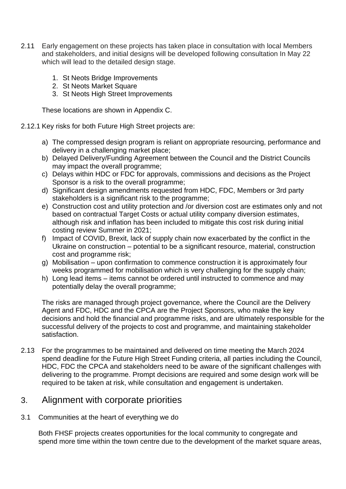- 2.11 Early engagement on these projects has taken place in consultation with local Members and stakeholders, and initial designs will be developed following consultation In May 22 which will lead to the detailed design stage.
	- 1. St Neots Bridge Improvements
	- 2. St Neots Market Square
	- 3. St Neots High Street Improvements

These locations are shown in Appendix C.

#### 2.12.1 Key risks for both Future High Street projects are:

- a) The compressed design program is reliant on appropriate resourcing, performance and delivery in a challenging market place;
- b) Delayed Delivery/Funding Agreement between the Council and the District Councils may impact the overall programme;
- c) Delays within HDC or FDC for approvals, commissions and decisions as the Project Sponsor is a risk to the overall programme;
- d) Significant design amendments requested from HDC, FDC, Members or 3rd party stakeholders is a significant risk to the programme;
- e) Construction cost and utility protection and /or diversion cost are estimates only and not based on contractual Target Costs or actual utility company diversion estimates, although risk and inflation has been included to mitigate this cost risk during initial costing review Summer in 2021;
- f) Impact of COVID, Brexit, lack of supply chain now exacerbated by the conflict in the Ukraine on construction – potential to be a significant resource, material, construction cost and programme risk;
- g) Mobilisation upon confirmation to commence construction it is approximately four weeks programmed for mobilisation which is very challenging for the supply chain;
- h) Long lead items items cannot be ordered until instructed to commence and may potentially delay the overall programme;

The risks are managed through project governance, where the Council are the Delivery Agent and FDC, HDC and the CPCA are the Project Sponsors, who make the key decisions and hold the financial and programme risks, and are ultimately responsible for the successful delivery of the projects to cost and programme, and maintaining stakeholder satisfaction.

2.13 For the programmes to be maintained and delivered on time meeting the March 2024 spend deadline for the Future High Street Funding criteria, all parties including the Council, HDC, FDC the CPCA and stakeholders need to be aware of the significant challenges with delivering to the programme. Prompt decisions are required and some design work will be required to be taken at risk, while consultation and engagement is undertaken.

## 3. Alignment with corporate priorities

3.1 Communities at the heart of everything we do

 Both FHSF projects creates opportunities for the local community to congregate and spend more time within the town centre due to the development of the market square areas,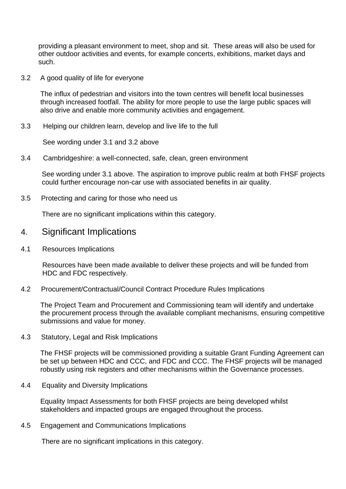providing a pleasant environment to meet, shop and sit. These areas will also be used for other outdoor activities and events, for example concerts, exhibitions, market days and such.

3.2 A good quality of life for everyone

 The influx of pedestrian and visitors into the town centres will benefit local businesses through increased footfall. The ability for more people to use the large public spaces will also drive and enable more community activities and engagement.

3.3 Helping our children learn, develop and live life to the full

See wording under 3.1 and 3.2 above

3.4 Cambridgeshire: a well-connected, safe, clean, green environment

See wording under 3.1 above. The aspiration to improve public realm at both FHSF projects could further encourage non-car use with associated benefits in air quality.

3.5 Protecting and caring for those who need us

There are no significant implications within this category.

- 4. Significant Implications
- 4.1 Resources Implications

 Resources have been made available to deliver these projects and will be funded from HDC and FDC respectively.

4.2 Procurement/Contractual/Council Contract Procedure Rules Implications

 The Project Team and Procurement and Commissioning team will identify and undertake the procurement process through the available compliant mechanisms, ensuring competitive submissions and value for money.

4.3 Statutory, Legal and Risk Implications

 The FHSF projects will be commissioned providing a suitable Grant Funding Agreement can be set up between HDC and CCC, and FDC and CCC. The FHSF projects will be managed robustly using risk registers and other mechanisms within the Governance processes.

4.4 Equality and Diversity Implications

 Equality Impact Assessments for both FHSF projects are being developed whilst stakeholders and impacted groups are engaged throughout the process.

4.5 Engagement and Communications Implications

There are no significant implications in this category.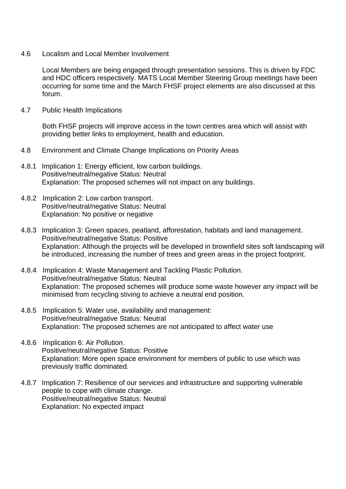4.6 Localism and Local Member Involvement

 Local Members are being engaged through presentation sessions. This is driven by FDC and HDC officers respectively. MATS Local Member Steering Group meetings have been occurring for some time and the March FHSF project elements are also discussed at this forum.

4.7 Public Health Implications

 Both FHSF projects will improve access in the town centres area which will assist with providing better links to employment, health and education.

- 4.8 Environment and Climate Change Implications on Priority Areas
- 4.8.1 Implication 1: Energy efficient, low carbon buildings. Positive/neutral/negative Status: Neutral Explanation: The proposed schemes will not impact on any buildings.
- 4.8.2 Implication 2: Low carbon transport. Positive/neutral/negative Status: Neutral Explanation: No positive or negative
- 4.8.3 Implication 3: Green spaces, peatland, afforestation, habitats and land management. Positive/neutral/negative Status: Positive Explanation: Although the projects will be developed in brownfield sites soft landscaping will be introduced, increasing the number of trees and green areas in the project footprint.
- 4.8.4 Implication 4: Waste Management and Tackling Plastic Pollution. Positive/neutral/negative Status: Neutral Explanation: The proposed schemes will produce some waste however any impact will be minimised from recycling stiving to achieve a neutral end position.
- 4.8.5 Implication 5: Water use, availability and management: Positive/neutral/negative Status: Neutral Explanation: The proposed schemes are not anticipated to affect water use
- 4.8.6 Implication 6: Air Pollution. Positive/neutral/negative Status: Positive Explanation: More open space environment for members of public to use which was previously traffic dominated.
- 4.8.7 Implication 7: Resilience of our services and infrastructure and supporting vulnerable people to cope with climate change. Positive/neutral/negative Status: Neutral Explanation: No expected impact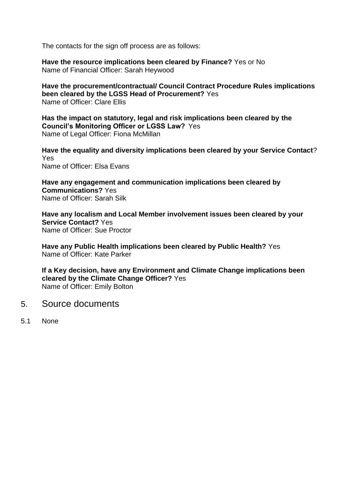The contacts for the sign off process are as follows:

**Have the resource implications been cleared by Finance?** Yes or No Name of Financial Officer: Sarah Heywood

**Have the procurement/contractual/ Council Contract Procedure Rules implications been cleared by the LGSS Head of Procurement?** Yes Name of Officer: Clare Ellis

**Has the impact on statutory, legal and risk implications been cleared by the Council's Monitoring Officer or LGSS Law?** Yes Name of Legal Officer: Fiona McMillan

**Have the equality and diversity implications been cleared by your Service Contact**? Yes Name of Officer: Elsa Evans

**Have any engagement and communication implications been cleared by Communications?** Yes Name of Officer: Sarah Silk

**Have any localism and Local Member involvement issues been cleared by your Service Contact?** Yes Name of Officer: Sue Proctor

**Have any Public Health implications been cleared by Public Health?** Yes Name of Officer: Kate Parker

**If a Key decision, have any Environment and Climate Change implications been cleared by the Climate Change Officer?** Yes Name of Officer: Emily Bolton

- 5. Source documents
- 5.1 None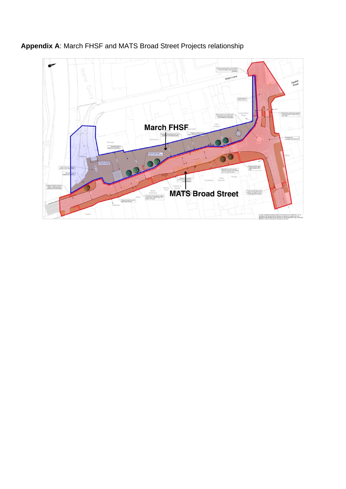

**Appendix A**: March FHSF and MATS Broad Street Projects relationship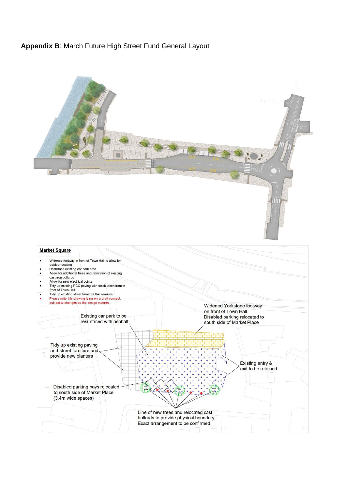## **Appendix B**: March Future High Street Fund General Layout